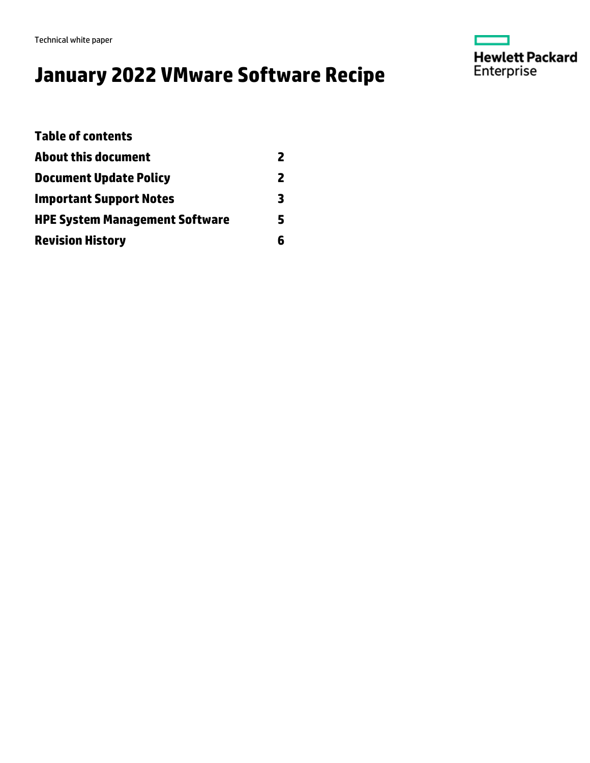Technical white paper

# **January 2022 VMware Software Recipe**



| <b>Table of contents</b>              |   |
|---------------------------------------|---|
| About this document                   | 2 |
| <b>Document Update Policy</b>         | 2 |
| <b>Important Support Notes</b>        | 3 |
| <b>HPE System Management Software</b> | 5 |
| <b>Revision History</b>               | 6 |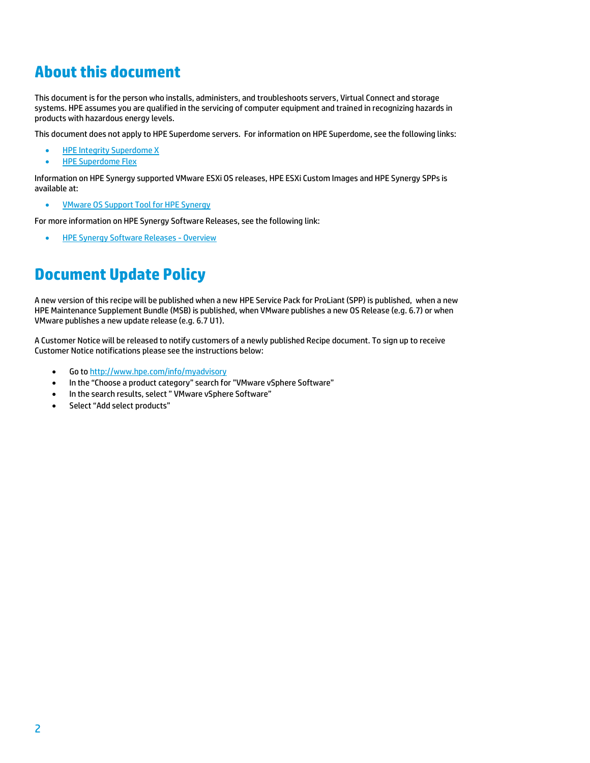## <span id="page-1-0"></span>**About this document**

This document is for the person who installs, administers, and troubleshoots servers, Virtual Connect and storage systems. HPE assumes you are qualified in the servicing of computer equipment and trained in recognizing hazards in products with hazardous energy levels.

This document does not apply to HPE Superdome servers. For information on HPE Superdome, see the following links:

- [HPE Integrity Superdome X](https://h20195.www2.hpe.com/V2/GetDocument.aspx?docname=4AA6-5018ENW)
- [HPE Superdome Flex](https://h20195.www2.hpe.com/v2/GetDocument.aspx?docname=a00043141enw)

Information on HPE Synergy supported VMware ESXi OS releases, HPE ESXi Custom Images and HPE Synergy SPPs is available at:

• **[VMware OS Support Tool for HPE Synergy](https://techhub.hpe.com/eginfolib/synergy/sw_release_info/VMware_Support.html)** 

For more information on HPE Synergy Software Releases, see the following link:

[HPE Synergy Software Releases -](http://www.hpe.com/info/synergy-sw-release-information) Overview

### <span id="page-1-1"></span>**Document Update Policy**

A new version of this recipe will be published when a new HPE Service Pack for ProLiant (SPP) is published, when a new HPE Maintenance Supplement Bundle (MSB) is published, when VMware publishes a new OS Release (e.g. 6.7) or when VMware publishes a new update release (e.g. 6.7 U1).

A Customer Notice will be released to notify customers of a newly published Recipe document. To sign up to receive Customer Notice notifications please see the instructions below:

- Go t[o http://www.hpe.com/info/myadvisory](http://www.hpe.com/info/myadvisory)
- In the "Choose a product category" search for "VMware vSphere Software"
- In the search results, select " VMware vSphere Software"
- Select "Add select products"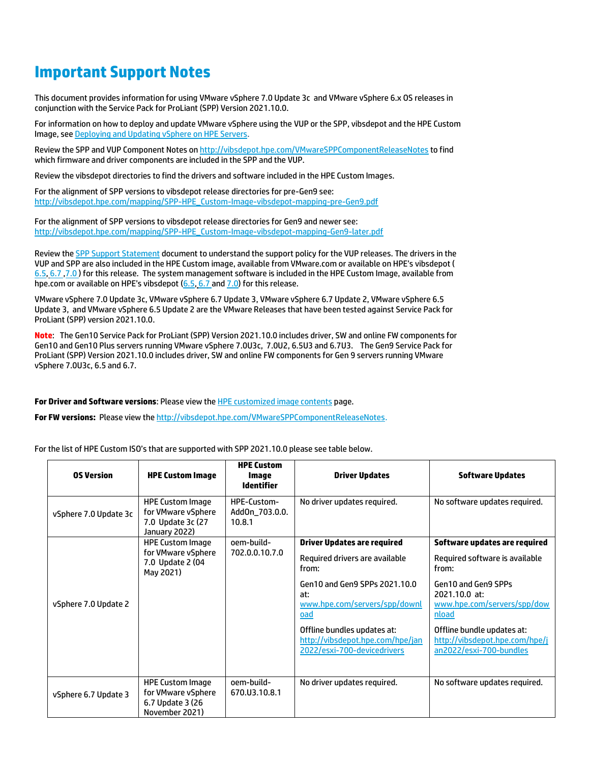### <span id="page-2-0"></span>**Important Support Notes**

This document provides information for using VMware vSphere 7.0 Update 3c and VMware vSphere 6.x OS releases in conjunction with the Service Pack for ProLiant (SPP) Version 2021.10.0.

For information on how to deploy and update VMware vSphere using the VUP or the SPP, vibsdepot and the HPE Custom Image, see [Deploying and Updating vSphere on HPE Servers.](https://h20195.www2.hpe.com/v2/Getdocument.aspx?docname=a00061651enw)

Review the SPP and VUP Component Notes o[n http://vibsdepot.hpe.com/VMwareSPPComponentReleaseNotes](http://vibsdepot.hpe.com/VMwareSPPComponentReleaseNotes) to find which firmware and driver components are included in the SPP and the VUP.

Review the vibsdepot directories to find the drivers and software included in the HPE Custom Images.

For the alignment of SPP versions to vibsdepot release directories for pre-Gen9 see: [http://vibsdepot.hpe.com/mapping/SPP-HPE\\_Custom-Image-vibsdepot-mapping-pre-Gen9.pdf](http://vibsdepot.hpe.com/mapping/SPP-HPE_Custom-Image-vibsdepot-mapping-pre-Gen9.pdf)

For the alignment of SPP versions to vibsdepot release directories for Gen9 and newer see: [http://vibsdepot.hpe.com/mapping/SPP-HPE\\_Custom-Image-vibsdepot-mapping-Gen9-later.pdf](http://vibsdepot.hpe.com/mapping/SPP-HPE_Custom-Image-vibsdepot-mapping-Gen9-later.pdf)

Review the **SPP Support Statement** document to understand the support policy for the VUP releases. The drivers in the VUP and SPP are also included in the HPE Custom image, available from VMware.com or available on HPE's vibsdepot ( [6.5,](http://vibsdepot.hpe.com/hpe/oct.26.2021/esxi-650-devicedrivers) [6.7](http://vibsdepot.hpe.com/hpe/nov2021/esxi-670-devicedrivers) [,7.0](https://vibsdepot.hpe.com/hpe/jan2022/esxi-700-devicedrivers) ) for this release. The system management software is included in the HPE Custom Image, available from hpe.com or available on HPE's vibsdepot [\(6.5,](http://vibsdepot.hpe.com/hpe/oct.26.2021/esxi-650-bundles) [6.7](http://vibsdepot.hpe.com/hpe/nov2021/esxi-670-bundles) an[d 7.0\)](https://vibsdepot.hpe.com/hpe/jan2022/esxi-700-bundles) for this release.

VMware vSphere 7.0 Update 3c, VMware vSphere 6.7 Update 3, VMware vSphere 6.7 Update 2, VMware vSphere 6.5 Update 3, and VMware vSphere 6.5 Update 2 are the VMware Releases that have been tested against Service Pack for ProLiant (SPP) version 2021.10.0.

**Note**: The Gen10 Service Pack for ProLiant (SPP) Version 2021.10.0 includes driver, SW and online FW components for Gen10 and Gen10 Plus servers running VMware vSphere 7.0U3c, 7.0U2, 6.5U3 and 6.7U3. The Gen9 Service Pack for ProLiant (SPP) Version 2021.10.0 includes driver, SW and online FW components for Gen 9 servers running VMware vSphere 7.0U3c, 6.5 and 6.7.

**For Driver and Software versions**: Please view th[e HPE customized image contents](http://h20565.www2.hpe.com/hpsc/doc/public/display?docId=c04430318) page.

**For FW versions:** Please view the [http://vibsdepot.hpe.com/VMwareSPPComponentReleaseNotes.](http://vibsdepot.hpe.com/VMwareSPPComponentReleaseNotes)

For the list of HPE Custom ISO's that are supported with SPP 2021.10.0 please see table below.

| <b>OS Version</b>     | <b>HPE Custom Image</b>                                                             | <b>HPE Custom</b><br>Image<br><b>Identifier</b> | <b>Driver Updates</b>                                                                          | <b>Software Updates</b>                                                                 |
|-----------------------|-------------------------------------------------------------------------------------|-------------------------------------------------|------------------------------------------------------------------------------------------------|-----------------------------------------------------------------------------------------|
| vSphere 7.0 Update 3c | <b>HPE Custom Image</b><br>for VMware vSphere<br>7.0 Update 3c (27<br>January 2022) | HPE-Custom-<br>AddOn_703.0.0.<br>10.8.1         | No driver updates required.                                                                    | No software updates required.                                                           |
| vSphere 7.0 Update 2  | <b>HPE Custom Image</b><br>for VMware vSphere<br>7.0 Update 2 (04<br>May 2021)      | oem-build-<br>702.0.0.10.7.0                    | <b>Driver Updates are required</b><br>Required drivers are available<br>from:                  | Software updates are required<br>Required software is available<br>from:                |
|                       |                                                                                     |                                                 | Gen10 and Gen9 SPPs 2021.10.0<br>at:<br>www.hpe.com/servers/spp/downl<br>oad                   | Gen10 and Gen9 SPPs<br>2021.10.0 at:<br>www.hpe.com/servers/spp/dow<br><b>nload</b>     |
|                       |                                                                                     |                                                 | Offline bundles updates at:<br>http://vibsdepot.hpe.com/hpe/jan<br>2022/esxi-700-devicedrivers | Offline bundle updates at:<br>http://vibsdepot.hpe.com/hpe/j<br>an2022/esxi-700-bundles |
| vSphere 6.7 Update 3  | <b>HPE Custom Image</b><br>for VMware vSphere<br>6.7 Update 3 (26<br>November 2021) | oem-build-<br>670.U3.10.8.1                     | No driver updates required.                                                                    | No software updates required.                                                           |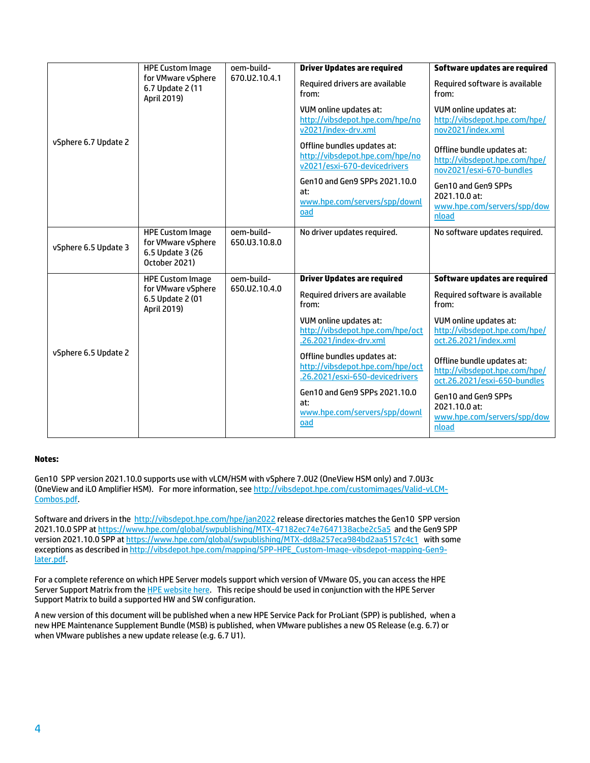| vSphere 6.7 Update 2 | <b>HPE Custom Image</b><br>for VMware vSphere<br>6.7 Update 2 (11<br>April 2019)   | oem-build-<br>670.U2.10.4.1 | <b>Driver Updates are required</b>                                                                 | Software updates are required                                                               |
|----------------------|------------------------------------------------------------------------------------|-----------------------------|----------------------------------------------------------------------------------------------------|---------------------------------------------------------------------------------------------|
|                      |                                                                                    |                             | Required drivers are available<br>from:                                                            | Required software is available<br>from:                                                     |
|                      |                                                                                    |                             | VUM online updates at:<br>http://vibsdepot.hpe.com/hpe/no<br>v2021/index-drv.xml                   | VUM online updates at:<br>http://vibsdepot.hpe.com/hpe/<br>nov2021/index.xml                |
|                      |                                                                                    |                             | Offline bundles updates at:<br>http://vibsdepot.hpe.com/hpe/no<br>v2021/esxi-670-devicedrivers     | Offline bundle updates at:<br>http://vibsdepot.hpe.com/hpe/<br>nov2021/esxi-670-bundles     |
|                      |                                                                                    |                             | Gen10 and Gen9 SPPs 2021.10.0<br>at:<br>www.hpe.com/servers/spp/downl<br>oad                       | Gen10 and Gen9 SPPs<br>2021.10.0 at:<br>www.hpe.com/servers/spp/dow<br>nload                |
| vSphere 6.5 Update 3 | <b>HPE Custom Image</b><br>for VMware vSphere<br>6.5 Update 3 (26<br>October 2021) | oem-build-<br>650.U3.10.8.0 | No driver updates required.                                                                        | No software updates required.                                                               |
|                      | <b>HPE Custom Image</b>                                                            | oem-build-                  | <b>Driver Updates are required</b>                                                                 | Software updates are required                                                               |
| vSphere 6.5 Update 2 | for VMware vSphere<br>6.5 Update 2 (01<br>April 2019)                              | 650.U2.10.4.0               | Required drivers are available<br>from:                                                            | Required software is available<br>from:                                                     |
|                      |                                                                                    |                             | VUM online updates at:<br>http://vibsdepot.hpe.com/hpe/oct<br>.26.2021/index-drv.xml               | VUM online updates at:<br>http://vibsdepot.hpe.com/hpe/<br>oct.26.2021/index.xml            |
|                      |                                                                                    |                             | Offline bundles updates at:<br>http://vibsdepot.hpe.com/hpe/oct<br>.26.2021/esxi-650-devicedrivers | Offline bundle updates at:<br>http://vibsdepot.hpe.com/hpe/<br>oct.26.2021/esxi-650-bundles |
|                      |                                                                                    |                             | Gen10 and Gen9 SPPs 2021.10.0<br>at:<br>www.hpe.com/servers/spp/downl<br>oad                       | Gen10 and Gen9 SPPs<br>2021.10.0 at:<br>www.hpe.com/servers/spp/dow<br>nload                |

#### **Notes:**

Gen10 SPP version 2021.10.0 supports use with vLCM/HSM with vSphere 7.0U2 (OneView HSM only) and 7.0U3c (OneView and iLO Amplifier HSM). For more information, se[e http://vibsdepot.hpe.com/customimages/Valid-vLCM-](http://vibsdepot.hpe.com/customimages/Valid-vLCM-Combos.pdf)[Combos.pdf.](http://vibsdepot.hpe.com/customimages/Valid-vLCM-Combos.pdf)

Software and drivers in the<http://vibsdepot.hpe.com/hpe/jan2022> release directories matches the Gen10 SPP version 2021.10.0 SPP a[t https://www.hpe.com/global/swpublishing/MTX-47182ec74e7647138acbe2c5a5](https://www.hpe.com/global/swpublishing/MTX-47182ec74e7647138acbe2c5a5) and the Gen9 SPP version 2021.10.0 SPP at <https://www.hpe.com/global/swpublishing/MTX-dd8a257eca984bd2aa5157c4c1> with some exceptions as described in [http://vibsdepot.hpe.com/mapping/SPP-HPE\\_Custom-Image-vibsdepot-mapping-Gen9](http://vibsdepot.hpe.com/mapping/SPP-HPE_Custom-Image-vibsdepot-mapping-Gen9-later.pdf) [later.pdf.](http://vibsdepot.hpe.com/mapping/SPP-HPE_Custom-Image-vibsdepot-mapping-Gen9-later.pdf)

For a complete reference on which HPE Server models support which version of VMware OS, you can access the HPE Server Support Matrix from th[e HPE website](http://h17007.www1.hpe.com/us/en/enterprise/servers/supportmatrix/vmware.aspx#.WWPmFojytaQ) here. This recipe should be used in conjunction with the HPE Server Support Matrix to build a supported HW and SW configuration.

A new version of this document will be published when a new HPE Service Pack for ProLiant (SPP) is published, when a new HPE Maintenance Supplement Bundle (MSB) is published, when VMware publishes a new OS Release (e.g. 6.7) or when VMware publishes a new update release (e.g. 6.7 U1).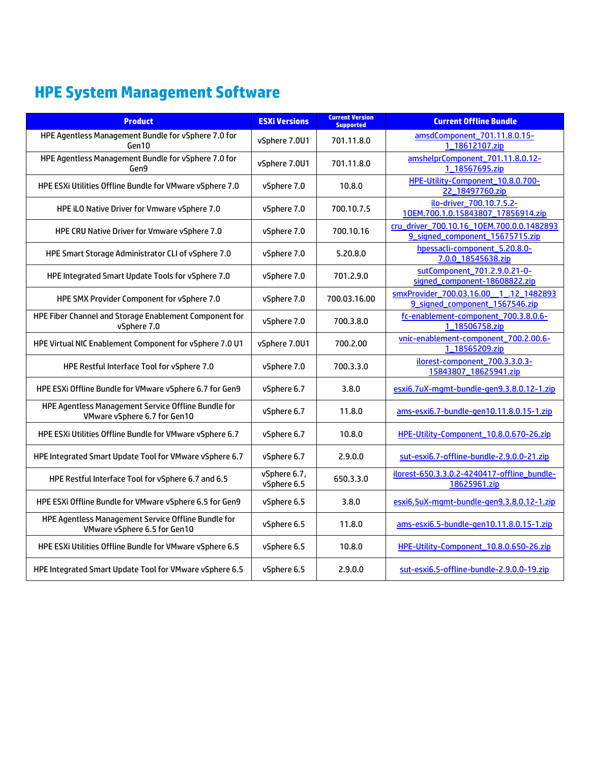## <span id="page-4-0"></span>**HPE System Management Software**

| <b>Product</b>                                                                      | <b>ESXi Versions</b>        | <b>Current Version</b><br><b>Supported</b> | <b>Current Offline Bundle</b>                                                |
|-------------------------------------------------------------------------------------|-----------------------------|--------------------------------------------|------------------------------------------------------------------------------|
| HPE Agentless Management Bundle for vSphere 7.0 for<br>Gen10                        | vSphere 7.0U1               | 701.11.8.0                                 | amsdComponent_701.11.8.0.15-<br>1_18612107.zip                               |
| HPE Agentless Management Bundle for vSphere 7.0 for<br>Gen9                         | vSphere 7.0U1               | 701.11.8.0                                 | amshelprComponent_701.11.8.0.12-<br>1 18567695.zip                           |
| HPE ESXi Utilities Offline Bundle for VMware vSphere 7.0                            | vSphere 7.0                 | 10.8.0                                     | HPE-Utility-Component_10.8.0.700-<br>22_18497760.zip                         |
| HPE iLO Native Driver for Vmware vSphere 7.0                                        | vSphere 7.0                 | 700.10.7.5                                 | ilo-driver 700.10.7.5.2-<br>10EM.700.1.0.15843807_17856914.zip               |
| HPE CRU Native Driver for Vmware vSphere 7.0                                        | vSphere 7.0                 | 700.10.16                                  | cru_driver_700.10.16_10EM.700.0.0.1482893<br>9_signed_component_15675715.zip |
| HPE Smart Storage Administrator CLI of vSphere 7.0                                  | vSphere 7.0                 | 5.20.8.0                                   | hpessacli-component_5.20.8.0-<br>7.0.0_18545638.zip                          |
| HPE Integrated Smart Update Tools for vSphere 7.0                                   | vSphere 7.0                 | 701.2.9.0                                  | sutComponent_701.2.9.0.21-0-<br>signed_component-18608822.zip                |
| HPE SMX Provider Component for vSphere 7.0                                          | vSphere 7.0                 | 700.03.16.00                               | smxProvider_700.03.16.00_1_.12_1482893<br>9_signed_component_1567546.zip     |
| HPE Fiber Channel and Storage Enablement Component for<br>vSphere 7.0               | vSphere 7.0                 | 700.3.8.0                                  | fc-enablement-component_700.3.8.0.6-<br>1_18506758.zip                       |
| HPE Virtual NIC Enablement Component for vSphere 7.0 U1                             | vSphere 7.0U1               | 700.2.00                                   | vnic-enablement-component_700.2.00.6-<br>1 18565209.zip                      |
| HPE Restful Interface Tool for vSphere 7.0                                          | vSphere 7.0                 | 700.3.3.0                                  | ilorest-component 700.3.3.0.3-<br>15843807_18625941.zip                      |
| HPE ESXi Offline Bundle for VMware vSphere 6.7 for Gen9                             | vSphere 6.7                 | 3.8.0                                      | esxi6.7uX-mqmt-bundle-qen9.3.8.0.12-1.zip                                    |
| HPE Agentless Management Service Offline Bundle for<br>VMware vSphere 6.7 for Gen10 | vSphere 6.7                 | 11.8.0                                     | ams-esxi6.7-bundle-gen10.11.8.0.15-1.zip                                     |
| HPE ESXi Utilities Offline Bundle for VMware vSphere 6.7                            | vSphere 6.7                 | 10.8.0                                     | HPE-Utility-Component_10.8.0.670-26.zip                                      |
| HPE Integrated Smart Update Tool for VMware vSphere 6.7                             | vSphere 6.7                 | 2.9.0.0                                    | sut-esxi6.7-offline-bundle-2.9.0.0-21.zip                                    |
| HPE Restful Interface Tool for vSphere 6.7 and 6.5                                  | vSphere 6.7,<br>vSphere 6.5 | 650.3.3.0                                  | ilorest-650.3.3.0.2-4240417-offline bundle-<br>18625961.zip                  |
| HPE ESXi Offline Bundle for VMware vSphere 6.5 for Gen9                             | vSphere 6.5                 | 3.8.0                                      | esxi6.5uX-mqmt-bundle-gen9.3.8.0.12-1.zip                                    |
| HPE Agentless Management Service Offline Bundle for<br>VMware vSphere 6.5 for Gen10 | vSphere 6.5                 | 11.8.0                                     | ams-esxi6.5-bundle-gen10.11.8.0.15-1.zip                                     |
| HPE ESXi Utilities Offline Bundle for VMware vSphere 6.5                            | vSphere 6.5                 | 10.8.0                                     | HPE-Utility-Component_10.8.0.650-26.zip                                      |
| HPE Integrated Smart Update Tool for VMware vSphere 6.5                             | vSphere 6.5                 | 2.9.0.0                                    | sut-esxi6.5-offline-bundle-2.9.0.0-19.zip                                    |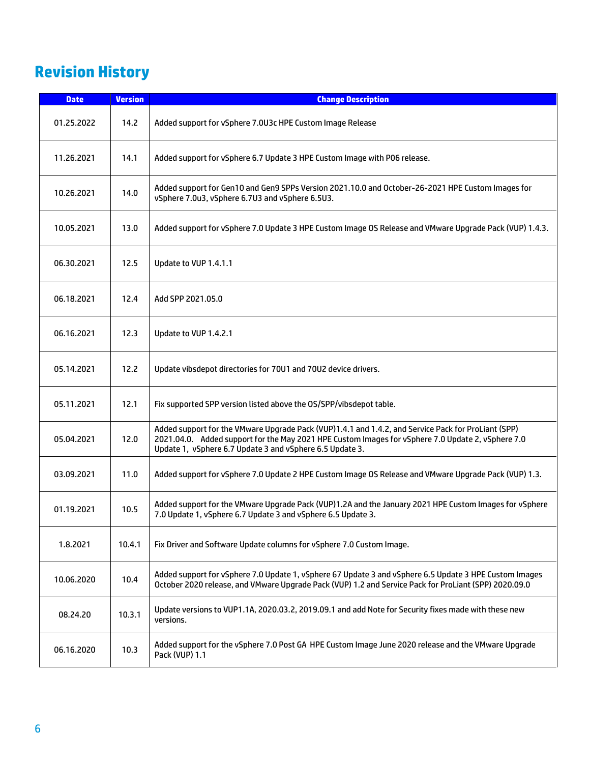## <span id="page-5-0"></span>**Revision History**

| <b>Date</b> | <b>Version</b> | <b>Change Description</b>                                                                                                                                                                                                                                            |  |
|-------------|----------------|----------------------------------------------------------------------------------------------------------------------------------------------------------------------------------------------------------------------------------------------------------------------|--|
| 01.25.2022  | 14.2           | Added support for vSphere 7.0U3c HPE Custom Image Release                                                                                                                                                                                                            |  |
| 11.26.2021  | 14.1           | Added support for vSphere 6.7 Update 3 HPE Custom Image with P06 release.                                                                                                                                                                                            |  |
| 10.26.2021  | 14.0           | Added support for Gen10 and Gen9 SPPs Version 2021.10.0 and October-26-2021 HPE Custom Images for<br>vSphere 7.0u3, vSphere 6.7U3 and vSphere 6.5U3.                                                                                                                 |  |
| 10.05.2021  | 13.0           | Added support for vSphere 7.0 Update 3 HPE Custom Image OS Release and VMware Upgrade Pack (VUP) 1.4.3.                                                                                                                                                              |  |
| 06.30.2021  | 12.5           | Update to VUP 1.4.1.1                                                                                                                                                                                                                                                |  |
| 06.18.2021  | 12.4           | Add SPP 2021.05.0                                                                                                                                                                                                                                                    |  |
| 06.16.2021  | 12.3           | Update to VUP 1.4.2.1                                                                                                                                                                                                                                                |  |
| 05.14.2021  | 12.2           | Update vibsdepot directories for 70U1 and 70U2 device drivers.                                                                                                                                                                                                       |  |
| 05.11.2021  | 12.1           | Fix supported SPP version listed above the OS/SPP/vibsdepot table.                                                                                                                                                                                                   |  |
| 05.04.2021  | 12.0           | Added support for the VMware Upgrade Pack (VUP)1.4.1 and 1.4.2, and Service Pack for ProLiant (SPP)<br>2021.04.0. Added support for the May 2021 HPE Custom Images for vSphere 7.0 Update 2, vSphere 7.0<br>Update 1, vSphere 6.7 Update 3 and vSphere 6.5 Update 3. |  |
| 03.09.2021  | 11.0           | Added support for vSphere 7.0 Update 2 HPE Custom Image OS Release and VMware Upgrade Pack (VUP) 1.3.                                                                                                                                                                |  |
| 01.19.2021  | 10.5           | Added support for the VMware Upgrade Pack (VUP)1.2A and the January 2021 HPE Custom Images for vSphere<br>7.0 Update 1, vSphere 6.7 Update 3 and vSphere 6.5 Update 3.                                                                                               |  |
| 1.8.2021    | 10.4.1         | Fix Driver and Software Update columns for vSphere 7.0 Custom Image.                                                                                                                                                                                                 |  |
| 10.06.2020  | 10.4           | Added support for vSphere 7.0 Update 1, vSphere 67 Update 3 and vSphere 6.5 Update 3 HPE Custom Images<br>October 2020 release, and VMware Upgrade Pack (VUP) 1.2 and Service Pack for ProLiant (SPP) 2020.09.0                                                      |  |
| 08.24.20    | 10.3.1         | Update versions to VUP1.1A, 2020.03.2, 2019.09.1 and add Note for Security fixes made with these new<br>versions.                                                                                                                                                    |  |
| 06.16.2020  | 10.3           | Added support for the vSphere 7.0 Post GA HPE Custom Image June 2020 release and the VMware Upgrade<br>Pack (VUP) 1.1                                                                                                                                                |  |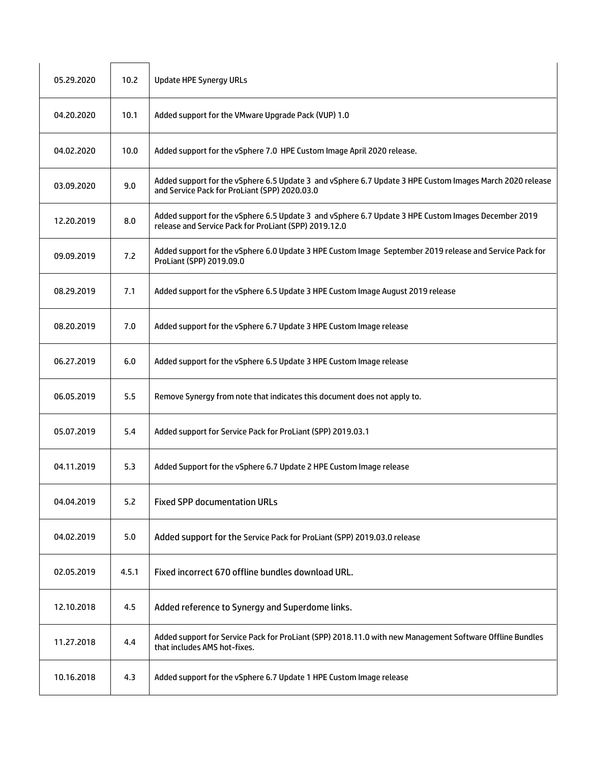| 05.29.2020 | 10.2 <sub>2</sub> | <b>Update HPE Synergy URLs</b>                                                                                                                               |
|------------|-------------------|--------------------------------------------------------------------------------------------------------------------------------------------------------------|
| 04.20.2020 | 10.1              | Added support for the VMware Upgrade Pack (VUP) 1.0                                                                                                          |
| 04.02.2020 | 10.0              | Added support for the vSphere 7.0 HPE Custom Image April 2020 release.                                                                                       |
| 03.09.2020 | 9.0               | Added support for the vSphere 6.5 Update 3 and vSphere 6.7 Update 3 HPE Custom Images March 2020 release<br>and Service Pack for ProLiant (SPP) 2020.03.0    |
| 12.20.2019 | 8.0               | Added support for the vSphere 6.5 Update 3 and vSphere 6.7 Update 3 HPE Custom Images December 2019<br>release and Service Pack for ProLiant (SPP) 2019.12.0 |
| 09.09.2019 | 7.2               | Added support for the vSphere 6.0 Update 3 HPE Custom Image September 2019 release and Service Pack for<br>ProLiant (SPP) 2019.09.0                          |
| 08.29.2019 | 7.1               | Added support for the vSphere 6.5 Update 3 HPE Custom Image August 2019 release                                                                              |
| 08.20.2019 | 7.0               | Added support for the vSphere 6.7 Update 3 HPE Custom Image release                                                                                          |
| 06.27.2019 | 6.0               | Added support for the vSphere 6.5 Update 3 HPE Custom Image release                                                                                          |
| 06.05.2019 | 5.5               | Remove Synergy from note that indicates this document does not apply to.                                                                                     |
| 05.07.2019 | 5.4               | Added support for Service Pack for ProLiant (SPP) 2019.03.1                                                                                                  |
| 04.11.2019 | 5.3               | Added Support for the vSphere 6.7 Update 2 HPE Custom Image release                                                                                          |
| 04.04.2019 | 5.2               | <b>Fixed SPP documentation URLs</b>                                                                                                                          |
| 04.02.2019 | 5.0               | Added support for the Service Pack for ProLiant (SPP) 2019.03.0 release                                                                                      |
| 02.05.2019 | 4.5.1             | Fixed incorrect 670 offline bundles download URL.                                                                                                            |
| 12.10.2018 | 4.5               | Added reference to Synergy and Superdome links.                                                                                                              |
| 11.27.2018 | 4.4               | Added support for Service Pack for ProLiant (SPP) 2018.11.0 with new Management Software Offline Bundles<br>that includes AMS hot-fixes.                     |
| 10.16.2018 | 4.3               | Added support for the vSphere 6.7 Update 1 HPE Custom Image release                                                                                          |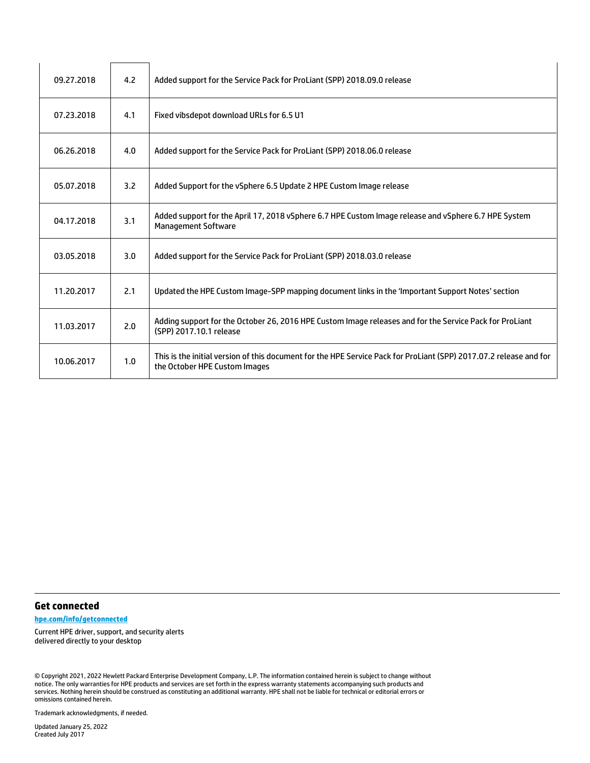| 09.27.2018 | 4.2 | Added support for the Service Pack for ProLiant (SPP) 2018.09.0 release                                                                             |
|------------|-----|-----------------------------------------------------------------------------------------------------------------------------------------------------|
| 07.23.2018 | 4.1 | Fixed vibsdepot download URLs for 6.5 U1                                                                                                            |
| 06.26.2018 | 4.0 | Added support for the Service Pack for ProLiant (SPP) 2018.06.0 release                                                                             |
| 05.07.2018 | 3.2 | Added Support for the vSphere 6.5 Update 2 HPE Custom Image release                                                                                 |
| 04.17.2018 | 3.1 | Added support for the April 17, 2018 vSphere 6.7 HPE Custom Image release and vSphere 6.7 HPE System<br><b>Management Software</b>                  |
| 03.05.2018 | 3.0 | Added support for the Service Pack for ProLiant (SPP) 2018.03.0 release                                                                             |
| 11.20.2017 | 2.1 | Updated the HPE Custom Image-SPP mapping document links in the 'Important Support Notes' section                                                    |
| 11.03.2017 | 2.0 | Adding support for the October 26, 2016 HPE Custom Image releases and for the Service Pack for ProLiant<br>(SPP) 2017.10.1 release                  |
| 10.06.2017 | 1.0 | This is the initial version of this document for the HPE Service Pack for ProLiant (SPP) 2017.07.2 release and for<br>the October HPE Custom Images |

#### **Get connected**

**[hpe.com/info/getconnected](http://www.hpe.com/info/getconnected)**

Current HPE driver, support, and security alerts delivered directly to your desktop

© Copyright 2021, 2022 Hewlett Packard Enterprise Development Company, L.P. The information contained herein is subject to change without notice. The only warranties for HPE products and services are set forth in the express warranty statements accompanying such products and services. Nothing herein should be construed as constituting an additional warranty. HPE shall not be liable for technical or editorial errors or omissions contained herein.

Trademark acknowledgments, if needed.

8 Updated January 25, 2022 Created July 2017